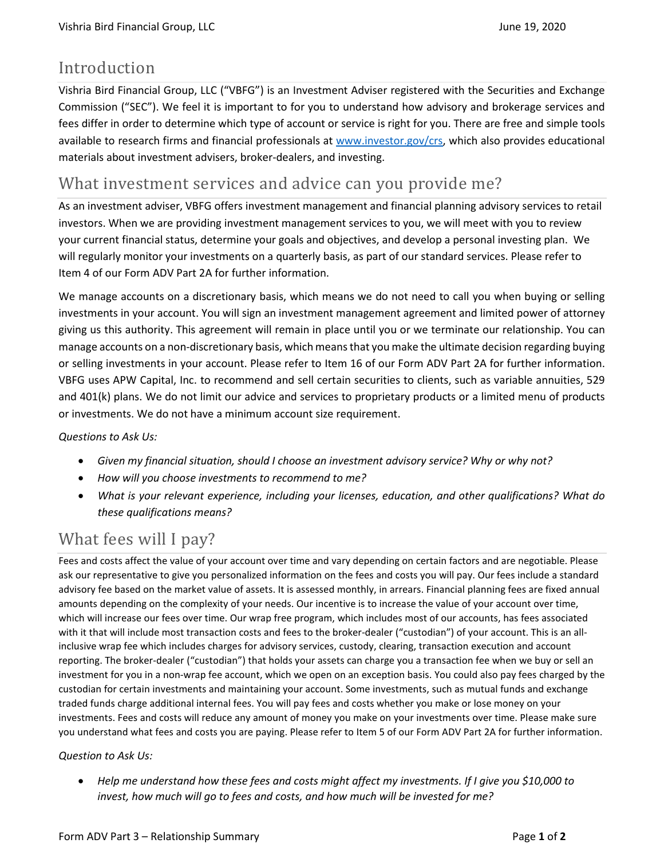## Introduction

Vishria Bird Financial Group, LLC ("VBFG") is an Investment Adviser registered with the Securities and Exchange Commission ("SEC"). We feel it is important to for you to understand how advisory and brokerage services and fees differ in order to determine which type of account or service is right for you. There are free and simple tools available to research firms and financial professionals at [www.investor.gov/crs,](http://www.investor.gov/crs) which also provides educational materials about investment advisers, broker-dealers, and investing.

### What investment services and advice can you provide me?

As an investment adviser, VBFG offers investment management and financial planning advisory services to retail investors. When we are providing investment management services to you, we will meet with you to review your current financial status, determine your goals and objectives, and develop a personal investing plan. We will regularly monitor your investments on a quarterly basis, as part of our standard services. Please refer to Item 4 of our Form ADV Part 2A for further information.

We manage accounts on a discretionary basis, which means we do not need to call you when buying or selling investments in your account. You will sign an investment management agreement and limited power of attorney giving us this authority. This agreement will remain in place until you or we terminate our relationship. You can manage accounts on a non-discretionary basis, which means that you make the ultimate decision regarding buying or selling investments in your account. Please refer to Item 16 of our Form ADV Part 2A for further information. VBFG uses APW Capital, Inc. to recommend and sell certain securities to clients, such as variable annuities, 529 and 401(k) plans. We do not limit our advice and services to proprietary products or a limited menu of products or investments. We do not have a minimum account size requirement.

#### *Questions to Ask Us:*

- *Given my financial situation, should I choose an investment advisory service? Why or why not?*
- *How will you choose investments to recommend to me?*
- *What is your relevant experience, including your licenses, education, and other qualifications? What do these qualifications means?*

# What fees will I pay?

Fees and costs affect the value of your account over time and vary depending on certain factors and are negotiable. Please ask our representative to give you personalized information on the fees and costs you will pay. Our fees include a standard advisory fee based on the market value of assets. It is assessed monthly, in arrears. Financial planning fees are fixed annual amounts depending on the complexity of your needs. Our incentive is to increase the value of your account over time, which will increase our fees over time. Our wrap free program, which includes most of our accounts, has fees associated with it that will include most transaction costs and fees to the broker-dealer ("custodian") of your account. This is an allinclusive wrap fee which includes charges for advisory services, custody, clearing, transaction execution and account reporting. The broker-dealer ("custodian") that holds your assets can charge you a transaction fee when we buy or sell an investment for you in a non-wrap fee account, which we open on an exception basis. You could also pay fees charged by the custodian for certain investments and maintaining your account. Some investments, such as mutual funds and exchange traded funds charge additional internal fees. You will pay fees and costs whether you make or lose money on your investments. Fees and costs will reduce any amount of money you make on your investments over time. Please make sure you understand what fees and costs you are paying. Please refer to Item 5 of our Form ADV Part 2A for further information.

#### *Question to Ask Us:*

• *Help me understand how these fees and costs might affect my investments. If I give you \$10,000 to invest, how much will go to fees and costs, and how much will be invested for me?*